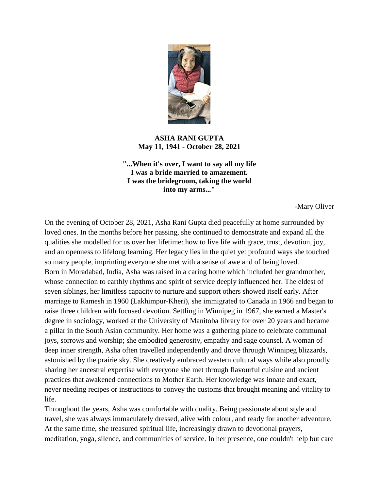

## **ASHA RANI GUPTA May 11, 1941 - October 28, 2021**

**"...When it's over, I want to say all my life I was a bride married to amazement. I was the bridegroom, taking the world into my arms..."**

-Mary Oliver

On the evening of October 28, 2021, Asha Rani Gupta died peacefully at home surrounded by loved ones. In the months before her passing, she continued to demonstrate and expand all the qualities she modelled for us over her lifetime: how to live life with grace, trust, devotion, joy, and an openness to lifelong learning. Her legacy lies in the quiet yet profound ways she touched so many people, imprinting everyone she met with a sense of awe and of being loved. Born in Moradabad, India, Asha was raised in a caring home which included her grandmother, whose connection to earthly rhythms and spirit of service deeply influenced her. The eldest of seven siblings, her limitless capacity to nurture and support others showed itself early. After marriage to Ramesh in 1960 (Lakhimpur-Kheri), she immigrated to Canada in 1966 and began to raise three children with focused devotion. Settling in Winnipeg in 1967, she earned a Master's degree in sociology, worked at the University of Manitoba library for over 20 years and became a pillar in the South Asian community. Her home was a gathering place to celebrate communal joys, sorrows and worship; she embodied generosity, empathy and sage counsel. A woman of deep inner strength, Asha often travelled independently and drove through Winnipeg blizzards, astonished by the prairie sky. She creatively embraced western cultural ways while also proudly sharing her ancestral expertise with everyone she met through flavourful cuisine and ancient practices that awakened connections to Mother Earth. Her knowledge was innate and exact, never needing recipes or instructions to convey the customs that brought meaning and vitality to life.

Throughout the years, Asha was comfortable with duality. Being passionate about style and travel, she was always immaculately dressed, alive with colour, and ready for another adventure. At the same time, she treasured spiritual life, increasingly drawn to devotional prayers, meditation, yoga, silence, and communities of service. In her presence, one couldn't help but care